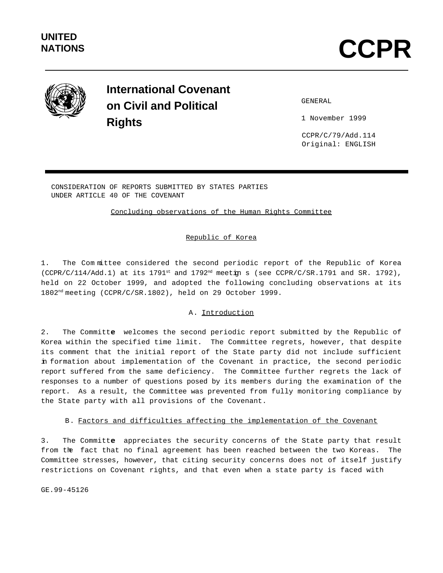

# **International Covenant on Civil and Political Rights**

GENERAL

1 November 1999

 CCPR/C/79/Add.114 Original: ENGLISH

CONSIDERATION OF REPORTS SUBMITTED BY STATES PARTIES UNDER ARTICLE 40 OF THE COVENANT

Concluding observations of the Human Rights Committee

# Republic of Korea

1. The Com mittee considered the second periodic report of the Republic of Korea (CCPR/C/114/Add.1) at its 1791<sup>st</sup> and 1792<sup>nd</sup> meeting s (see CCPR/C/SR.1791 and SR. 1792), held on 22 October 1999, and adopted the following concluding observations at its  $1802<sup>nd</sup>$  meeting (CCPR/C/SR.1802), held on 29 October 1999.

## A. Introduction

2. The Committe welcomes the second periodic report submitted by the Republic of Korea within the specified time limit. The Committee regrets, however, that despite its comment that the initial report of the State party did not include sufficient in formation about implementation of the Covenant in practice, the second periodic report suffered from the same deficiency. The Committee further regrets the lack of responses to a number of questions posed by its members during the examination of the report. As a result, the Committee was prevented from fully monitoring compliance by the State party with all provisions of the Covenant.

## B. Factors and difficulties affecting the implementation of the Covenant

3. The Committe appreciates the security concerns of the State party that result from the fact that no final agreement has been reached between the two Koreas. Committee stresses, however, that citing security concerns does not of itself justify restrictions on Covenant rights, and that even when a state party is faced with

GE.99-45126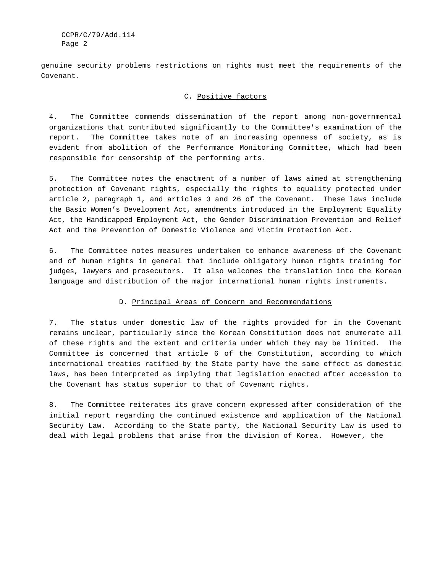CCPR/C/79/Add.114 Page 2

genuine security problems restrictions on rights must meet the requirements of the Covenant.

#### C. Positive factors

4. The Committee commends dissemination of the report among non-governmental organizations that contributed significantly to the Committee's examination of the report. The Committee takes note of an increasing openness of society, as is evident from abolition of the Performance Monitoring Committee, which had been responsible for censorship of the performing arts.

5. The Committee notes the enactment of a number of laws aimed at strengthening protection of Covenant rights, especially the rights to equality protected under article 2, paragraph 1, and articles 3 and 26 of the Covenant. These laws include the Basic Women's Development Act, amendments introduced in the Employment Equality Act, the Handicapped Employment Act, the Gender Discrimination Prevention and Relief Act and the Prevention of Domestic Violence and Victim Protection Act.

6. The Committee notes measures undertaken to enhance awareness of the Covenant and of human rights in general that include obligatory human rights training for judges, lawyers and prosecutors. It also welcomes the translation into the Korean language and distribution of the major international human rights instruments.

#### D. Principal Areas of Concern and Recommendations

7. The status under domestic law of the rights provided for in the Covenant remains unclear, particularly since the Korean Constitution does not enumerate all of these rights and the extent and criteria under which they may be limited. The Committee is concerned that article 6 of the Constitution, according to which international treaties ratified by the State party have the same effect as domestic laws, has been interpreted as implying that legislation enacted after accession to the Covenant has status superior to that of Covenant rights.

8. The Committee reiterates its grave concern expressed after consideration of the initial report regarding the continued existence and application of the National Security Law. According to the State party, the National Security Law is used to deal with legal problems that arise from the division of Korea. However, the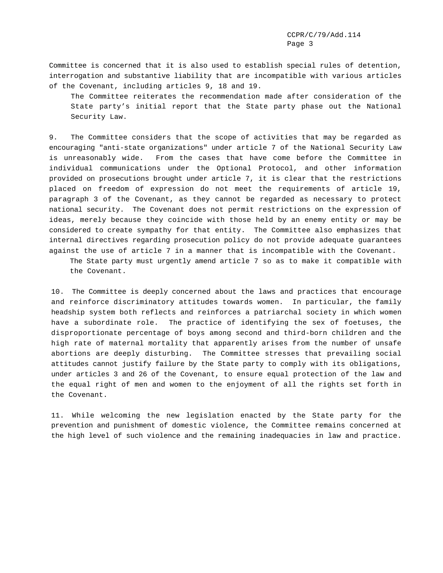Committee is concerned that it is also used to establish special rules of detention, interrogation and substantive liability that are incompatible with various articles of the Covenant, including articles 9, 18 and 19.

The Committee reiterates the recommendation made after consideration of the State party's initial report that the State party phase out the National Security Law.

9. The Committee considers that the scope of activities that may be regarded as encouraging "anti-state organizations" under article 7 of the National Security Law is unreasonably wide. From the cases that have come before the Committee in individual communications under the Optional Protocol, and other information provided on prosecutions brought under article 7, it is clear that the restrictions placed on freedom of expression do not meet the requirements of article 19, paragraph 3 of the Covenant, as they cannot be regarded as necessary to protect national security. The Covenant does not permit restrictions on the expression of ideas, merely because they coincide with those held by an enemy entity or may be considered to create sympathy for that entity. The Committee also emphasizes that internal directives regarding prosecution policy do not provide adequate guarantees against the use of article 7 in a manner that is incompatible with the Covenant.

The State party must urgently amend article 7 so as to make it compatible with the Covenant.

10. The Committee is deeply concerned about the laws and practices that encourage and reinforce discriminatory attitudes towards women. In particular, the family headship system both reflects and reinforces a patriarchal society in which women have a subordinate role. The practice of identifying the sex of foetuses, the disproportionate percentage of boys among second and third-born children and the high rate of maternal mortality that apparently arises from the number of unsafe abortions are deeply disturbing. The Committee stresses that prevailing social attitudes cannot justify failure by the State party to comply with its obligations, under articles 3 and 26 of the Covenant, to ensure equal protection of the law and the equal right of men and women to the enjoyment of all the rights set forth in the Covenant.

11. While welcoming the new legislation enacted by the State party for the prevention and punishment of domestic violence, the Committee remains concerned at the high level of such violence and the remaining inadequacies in law and practice.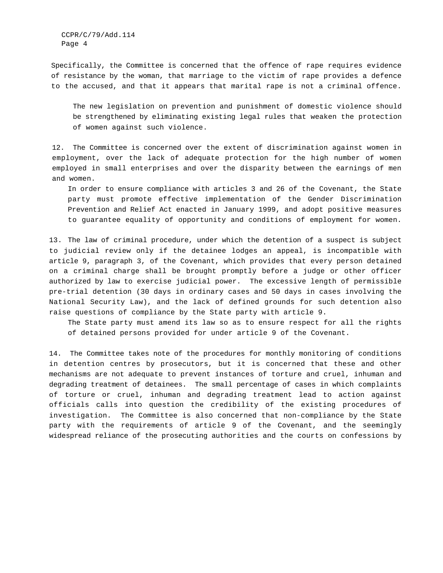CCPR/C/79/Add.114 Page 4

Specifically, the Committee is concerned that the offence of rape requires evidence of resistance by the woman, that marriage to the victim of rape provides a defence to the accused, and that it appears that marital rape is not a criminal offence.

The new legislation on prevention and punishment of domestic violence should be strengthened by eliminating existing legal rules that weaken the protection of women against such violence.

12. The Committee is concerned over the extent of discrimination against women in employment, over the lack of adequate protection for the high number of women employed in small enterprises and over the disparity between the earnings of men and women.

In order to ensure compliance with articles 3 and 26 of the Covenant, the State party must promote effective implementation of the Gender Discrimination Prevention and Relief Act enacted in January 1999, and adopt positive measures to guarantee equality of opportunity and conditions of employment for women.

13. The law of criminal procedure, under which the detention of a suspect is subject to judicial review only if the detainee lodges an appeal, is incompatible with article 9, paragraph 3, of the Covenant, which provides that every person detained on a criminal charge shall be brought promptly before a judge or other officer authorized by law to exercise judicial power. The excessive length of permissible pre-trial detention (30 days in ordinary cases and 50 days in cases involving the National Security Law), and the lack of defined grounds for such detention also raise questions of compliance by the State party with article 9.

The State party must amend its law so as to ensure respect for all the rights of detained persons provided for under article 9 of the Covenant.

14. The Committee takes note of the procedures for monthly monitoring of conditions in detention centres by prosecutors, but it is concerned that these and other mechanisms are not adequate to prevent instances of torture and cruel, inhuman and degrading treatment of detainees. The small percentage of cases in which complaints of torture or cruel, inhuman and degrading treatment lead to action against officials calls into question the credibility of the existing procedures of investigation. The Committee is also concerned that non-compliance by the State party with the requirements of article 9 of the Covenant, and the seemingly widespread reliance of the prosecuting authorities and the courts on confessions by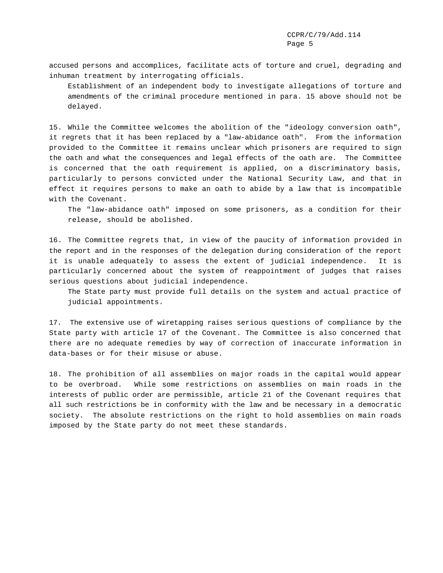accused persons and accomplices, facilitate acts of torture and cruel, degrading and inhuman treatment by interrogating officials.

Establishment of an independent body to investigate allegations of torture and amendments of the criminal procedure mentioned in para. 15 above should not be delayed.

15. While the Committee welcomes the abolition of the "ideology conversion oath", it regrets that it has been replaced by a "law-abidance oath". From the information provided to the Committee it remains unclear which prisoners are required to sign the oath and what the consequences and legal effects of the oath are. The Committee is concerned that the oath requirement is applied, on a discriminatory basis, particularly to persons convicted under the National Security Law, and that in effect it requires persons to make an oath to abide by a law that is incompatible with the Covenant.

The "law-abidance oath" imposed on some prisoners, as a condition for their release, should be abolished.

16. The Committee regrets that, in view of the paucity of information provided in the report and in the responses of the delegation during consideration of the report it is unable adequately to assess the extent of judicial independence. It is particularly concerned about the system of reappointment of judges that raises serious questions about judicial independence.

The State party must provide full details on the system and actual practice of judicial appointments.

17. The extensive use of wiretapping raises serious questions of compliance by the State party with article 17 of the Covenant. The Committee is also concerned that there are no adequate remedies by way of correction of inaccurate information in data-bases or for their misuse or abuse.

18. The prohibition of all assemblies on major roads in the capital would appear to be overbroad. While some restrictions on assemblies on main roads in the interests of public order are permissible, article 21 of the Covenant requires that all such restrictions be in conformity with the law and be necessary in a democratic society. The absolute restrictions on the right to hold assemblies on main roads imposed by the State party do not meet these standards.